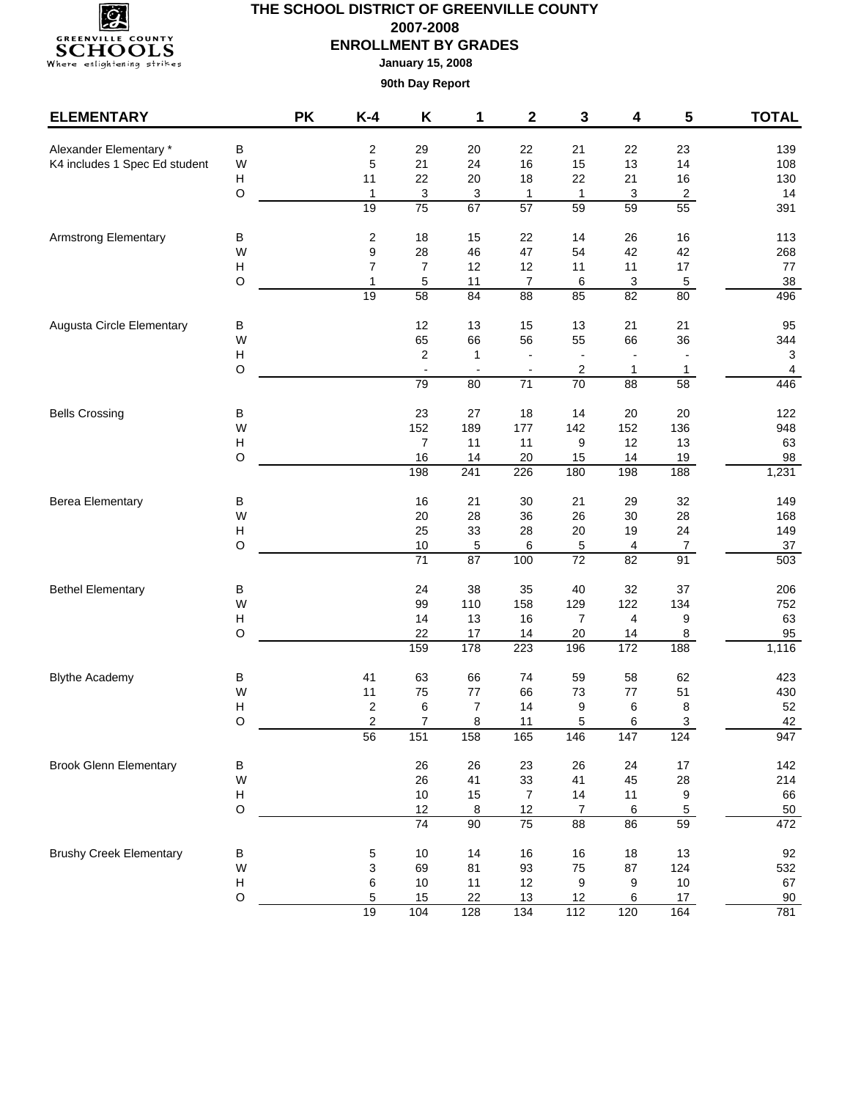

**January 15, 2008**

| <b>ELEMENTARY</b>              |                           | <b>PK</b> | $K-4$        | Κ                                | 1                                        | 2                              | 3                                         | 4               | 5                             | <b>TOTAL</b>                   |
|--------------------------------|---------------------------|-----------|--------------|----------------------------------|------------------------------------------|--------------------------------|-------------------------------------------|-----------------|-------------------------------|--------------------------------|
| Alexander Elementary *         | B                         |           | 2            | 29                               | 20                                       | 22                             | 21                                        | 22              | 23                            | 139                            |
| K4 includes 1 Spec Ed student  | W                         |           | 5            | 21                               | 24                                       | 16                             | 15                                        | 13              | 14                            | 108                            |
|                                | H                         |           | 11           | 22                               | 20                                       | 18                             | 22                                        | 21              | $16\,$                        | 130                            |
|                                | $\mathsf O$               |           | $\mathbf{1}$ | 3                                | 3                                        | $\mathbf{1}$                   | $\mathbf{1}$                              | 3               | $\overline{2}$                | 14                             |
|                                |                           |           | 19           | 75                               | 67                                       | $\overline{57}$                | 59                                        | 59              | 55                            | 391                            |
| <b>Armstrong Elementary</b>    | B                         |           | 2            | 18                               | 15                                       | 22                             | 14                                        | 26              | 16                            | 113                            |
|                                | W                         |           | 9            | 28                               | 46                                       | 47                             | 54                                        | 42              | 42                            | 268                            |
|                                | Н                         |           | 7            | $\overline{7}$                   | 12                                       | 12                             | 11                                        | 11              | 17                            | 77                             |
|                                | O                         |           | $\mathbf{1}$ | 5                                | 11                                       | $\boldsymbol{7}$               | $\,6\,$                                   | 3               | 5                             | $38\,$                         |
|                                |                           |           | 19           | $\overline{58}$                  | 84                                       | $\overline{88}$                | 85                                        | $\overline{82}$ | 80                            | 496                            |
| Augusta Circle Elementary      | В                         |           |              | 12                               | 13                                       | 15                             | 13                                        | 21              | 21                            | 95                             |
|                                | W                         |           |              | 65                               | 66                                       | 56                             | 55                                        | 66              | 36                            | 344                            |
|                                | Н<br>O                    |           |              | $\overline{c}$<br>$\blacksquare$ | $\mathbf{1}$<br>$\overline{\phantom{a}}$ |                                | $\overline{a}$<br>$\overline{\mathbf{c}}$ | 1               | $\overline{\phantom{a}}$<br>1 | 3                              |
|                                |                           |           |              | 79                               | 80                                       | $\overline{\phantom{a}}$<br>71 | $\overline{70}$                           | 88              | $\overline{58}$               | $\overline{\mathbf{4}}$<br>446 |
|                                |                           |           |              |                                  |                                          |                                |                                           |                 |                               |                                |
| <b>Bells Crossing</b>          | В                         |           |              | 23                               | 27                                       | 18<br>177                      | 14                                        | 20              | 20                            | 122                            |
|                                | W<br>Н                    |           |              | 152<br>7                         | 189<br>11                                | 11                             | 142<br>9                                  | 152<br>12       | 136<br>13                     | 948<br>63                      |
|                                | O                         |           |              | 16                               | 14                                       | $20\,$                         | 15                                        | 14              | 19                            | 98                             |
|                                |                           |           |              | 198                              | 241                                      | 226                            | 180                                       | 198             | 188                           | 1,231                          |
| <b>Berea Elementary</b>        | B                         |           |              | 16                               | 21                                       | 30                             | 21                                        | 29              | 32                            | 149                            |
|                                | W                         |           |              | 20                               | 28                                       | 36                             | 26                                        | 30              | 28                            | 168                            |
|                                | $\boldsymbol{\mathsf{H}}$ |           |              | 25                               | 33                                       | 28                             | $20\,$                                    | 19              | 24                            | 149                            |
|                                | O                         |           |              | $10$                             | 5                                        | 6                              | 5                                         | 4               | $\boldsymbol{7}$              | $37\,$                         |
|                                |                           |           |              | $\overline{71}$                  | 87                                       | 100                            | $\overline{72}$                           | 82              | 91                            | 503                            |
| <b>Bethel Elementary</b>       | В                         |           |              | 24                               | 38                                       | 35                             | 40                                        | 32              | 37                            | 206                            |
|                                | W                         |           |              | 99                               | 110                                      | 158                            | 129                                       | 122             | 134                           | 752                            |
|                                | $\boldsymbol{\mathsf{H}}$ |           |              | 14                               | 13                                       | 16                             | 7                                         | 4               | 9                             | 63                             |
|                                | $\circ$                   |           |              | 22                               | 17                                       | 14                             | 20                                        | 14              | 8                             | 95                             |
|                                |                           |           |              | 159                              | 178                                      | 223                            | 196                                       | 172             | 188                           | 1,116                          |
| <b>Blythe Academy</b>          | В                         |           | 41           | 63                               | 66                                       | 74                             | 59                                        | 58              | 62                            | 423                            |
|                                | W                         |           | 11           | 75                               | $77 \,$                                  | 66                             | 73                                        | $77 \,$         | 51                            | 430                            |
|                                | $\boldsymbol{\mathsf{H}}$ |           | 2            | 6                                | $\overline{7}$                           | 14                             | 9                                         | 6               | 8                             | 52                             |
|                                | O                         |           | 2<br>56      | $\overline{7}$<br>151            | 8<br>158                                 | 11<br>165                      | 5<br>146                                  | 6<br>147        | 3<br>124                      | 42<br>947                      |
|                                |                           |           |              |                                  |                                          |                                |                                           |                 |                               |                                |
| <b>Brook Glenn Elementary</b>  | В                         |           |              | 26                               | 26                                       | 23                             | 26                                        | 24              | $17$                          | 142                            |
|                                | W                         |           |              | 26                               | 41                                       | 33                             | 41                                        | 45              | 28                            | 214                            |
|                                | H                         |           |              | 10                               | 15                                       | $\overline{7}$                 | 14                                        | 11              | 9                             | 66                             |
|                                | $\circ$                   |           |              | 12<br>74                         | 8<br>$\overline{90}$                     | 12<br>$\overline{75}$          | $\boldsymbol{7}$<br>88                    | 6<br>86         | $\overline{5}$<br>59          | 50<br>472                      |
|                                |                           |           |              |                                  |                                          |                                |                                           |                 |                               |                                |
| <b>Brushy Creek Elementary</b> | Β                         |           | 5            | $10$                             | 14                                       | 16                             | $16\,$                                    | 18              | 13                            | 92                             |
|                                | W                         |           | 3            | 69                               | 81                                       | 93                             | 75                                        | 87              | 124                           | 532                            |
|                                | $\boldsymbol{\mathsf{H}}$ |           | 6            | $10$                             | 11                                       | 12                             | 9                                         | 9               | $10$                          | 67                             |
|                                | $\mathsf O$               |           | 5            | 15                               | 22                                       | 13                             | 12                                        | 6               | 17                            | 90                             |
|                                |                           |           | 19           | 104                              | 128                                      | $\frac{1}{134}$                | $\frac{1}{112}$                           | 120             | 164                           | 781                            |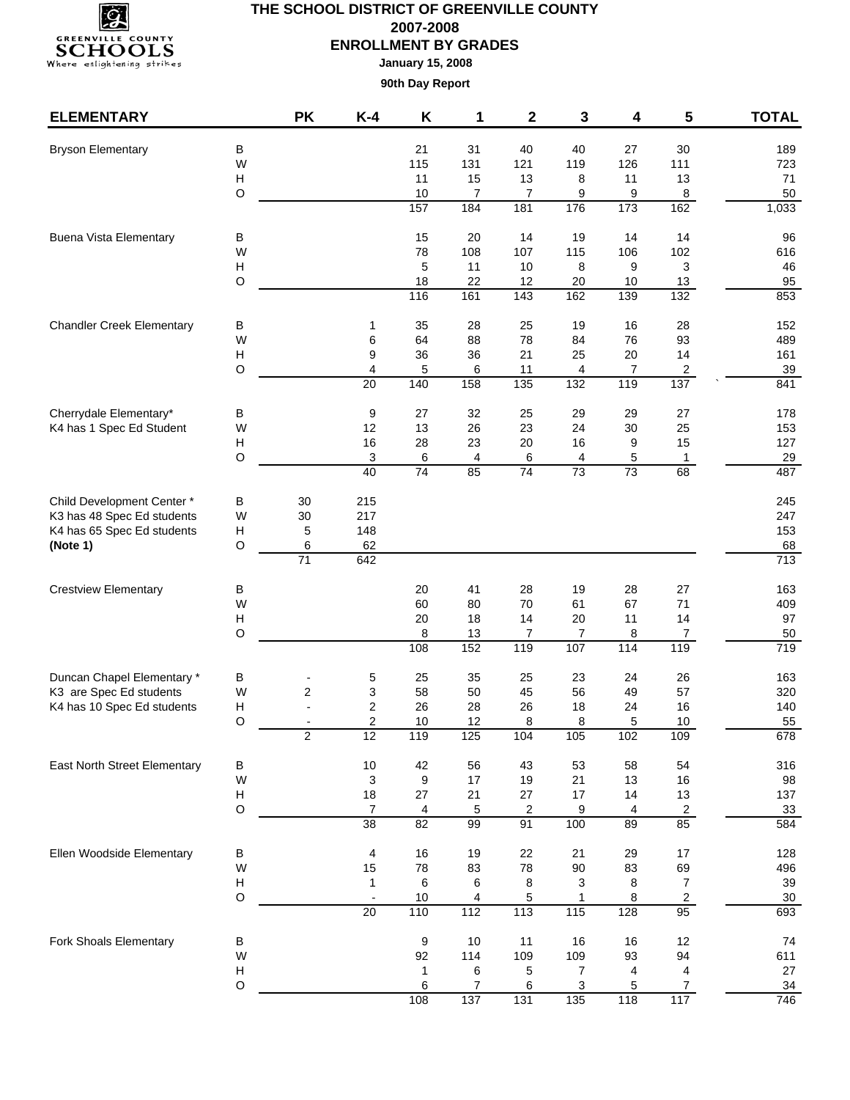

**January 15, 2008**

| <b>ELEMENTARY</b>                                          |                                | <b>PK</b>               | $K-4$                   | Κ                      | 1              | $\mathbf 2$             | 3                 | 4                    | 5                       | <b>TOTAL</b>     |
|------------------------------------------------------------|--------------------------------|-------------------------|-------------------------|------------------------|----------------|-------------------------|-------------------|----------------------|-------------------------|------------------|
| <b>Bryson Elementary</b>                                   | B                              |                         |                         | 21                     | 31             | 40                      | 40                | 27                   | 30                      | 189              |
|                                                            | W                              |                         |                         | 115                    | 131            | 121                     | 119               | 126                  | 111                     | 723              |
|                                                            | $\boldsymbol{\mathsf{H}}$      |                         |                         | 11                     | 15             | 13                      | 8                 | 11                   | 13                      | 71               |
|                                                            | $\circ$                        |                         |                         | 10                     | 7              | 7                       | 9                 | 9                    | 8                       | 50               |
|                                                            |                                |                         |                         | 157                    | 184            | 181                     | 176               | 173                  | 162                     | 1,033            |
| <b>Buena Vista Elementary</b>                              | в                              |                         |                         | 15                     | 20             | 14                      | 19                | 14                   | 14                      | 96               |
|                                                            | W                              |                         |                         | 78                     | 108            | 107                     | 115               | 106                  | 102                     | 616              |
|                                                            | H                              |                         |                         | 5                      | 11             | 10                      | 8                 | 9                    | 3                       | 46               |
|                                                            | $\circ$                        |                         |                         | 18<br>116              | 22<br>161      | 12<br>$\frac{1}{143}$   | 20<br>162         | 10<br>$\frac{1}{39}$ | 13<br>132               | 95<br>853        |
| <b>Chandler Creek Elementary</b>                           |                                |                         |                         | 35                     | 28             | 25                      | 19                | 16                   | 28                      | 152              |
|                                                            | В<br>W                         |                         | 1<br>6                  | 64                     | 88             | 78                      | 84                | 76                   | 93                      | 489              |
|                                                            | H                              |                         | 9                       | 36                     | 36             | 21                      | 25                | 20                   | 14                      | 161              |
|                                                            | $\circ$                        |                         | $\overline{4}$          | 5                      | 6              | 11                      | 4                 | 7                    | $\overline{\mathbf{c}}$ | 39               |
|                                                            |                                |                         | 20                      | 140                    | 158            | $\frac{1}{135}$         | $\overline{132}$  | 119                  | $\frac{1}{137}$         | 841              |
| Cherrydale Elementary*                                     | В                              |                         | 9                       | 27                     | 32             | 25                      | 29                | 29                   | 27                      | 178              |
| K4 has 1 Spec Ed Student                                   | W                              |                         | 12                      | 13                     | 26             | 23                      | 24                | 30                   | 25                      | 153              |
|                                                            | н                              |                         | 16                      | 28                     | 23             | 20                      | 16                | 9                    | 15                      | 127              |
|                                                            | $\circ$                        |                         | 3                       | 6                      | 4              | 6                       | 4                 | 5                    | 1                       | 29               |
|                                                            |                                |                         | $\overline{40}$         | $\overline{74}$        | 85             | $\overline{74}$         | $\overline{73}$   | 73                   | 68                      | 487              |
| Child Development Center*                                  | В                              | 30                      | 215                     |                        |                |                         |                   |                      |                         | 245              |
| K3 has 48 Spec Ed students                                 | W                              | 30                      | 217                     |                        |                |                         |                   |                      |                         | 247              |
| K4 has 65 Spec Ed students                                 | Н<br>$\circ$                   | 5                       | 148<br>62               |                        |                |                         |                   |                      |                         | 153<br>68        |
| (Note 1)                                                   |                                | 6<br>71                 | 642                     |                        |                |                         |                   |                      |                         | 713              |
| <b>Crestview Elementary</b>                                | В                              |                         |                         | 20                     | 41             | 28                      | 19                | 28                   | 27                      | 163              |
|                                                            | W                              |                         |                         | 60                     | 80             | 70                      | 61                | 67                   | 71                      | 409              |
|                                                            | H                              |                         |                         | 20                     | 18             | 14                      | 20                | 11                   | 14                      | 97               |
|                                                            | $\circ$                        |                         |                         | 8                      | 13             | 7                       | 7                 | 8                    | 7                       | 50               |
|                                                            |                                |                         |                         | 108                    | 152            | 119                     | 107               | 114                  | 119                     | $\overline{719}$ |
| Duncan Chapel Elementary *                                 | В                              |                         | 5                       | 25                     | 35             | 25                      | 23                | 24                   | 26                      | 163              |
| K3 are Spec Ed students                                    | W                              | $\overline{c}$          | 3                       | 58                     | 50             | 45                      | 56                | 49                   | 57                      | 320              |
|                                                            | Н                              |                         | $\overline{\mathbf{c}}$ | 26                     | 28             | 26                      | 18                | 24                   | 16                      | 140              |
| K4 has 10 Spec Ed students<br>East North Street Elementary | O                              |                         | $\boldsymbol{2}$        | 10                     | 12             | 8                       | 8                 | 5                    | 10                      | 55               |
|                                                            |                                | $\overline{\mathbf{c}}$ | $\overline{12}$         | 119                    | 125            | 104                     | 105               | 102                  | 109                     | 678              |
|                                                            | В                              |                         | $10\,$                  | 42                     | 56             | 43                      | 53                | 58                   | 54                      | 316              |
|                                                            | W<br>$\boldsymbol{\mathsf{H}}$ |                         | 3<br>18                 | $\boldsymbol{9}$<br>27 | 17<br>21       | 19<br>27                | 21<br>17          | 13<br>14             | 16<br>13                | 98<br>137        |
|                                                            | $\circ$                        |                         | $\overline{7}$          | 4                      | 5              | $\overline{\mathbf{c}}$ | 9                 | 4                    | $\overline{c}$          | 33               |
|                                                            |                                |                         | $\overline{38}$         | $\overline{82}$        | 99             | 91                      | 100               | 89                   | 85                      | 584              |
| Ellen Woodside Elementary                                  | B                              |                         | 4                       | 16                     | 19             | 22                      | 21                | 29                   | 17                      | 128              |
|                                                            | W                              |                         | 15                      | 78                     | 83             | 78                      | 90                | 83                   | 69                      | 496              |
|                                                            | $\boldsymbol{\mathsf{H}}$      |                         | $\mathbf{1}$            | 6                      | 6              | 8                       | 3                 | 8                    | 7                       | 39               |
|                                                            | $\circ$                        |                         |                         | $10$                   | 4              | 5                       | $\mathbf{1}$      | 8                    | $\overline{\mathbf{c}}$ | $30\,$           |
|                                                            |                                |                         | 20                      | 110                    | $\frac{1}{12}$ | 113                     | $\frac{115}{115}$ | 128                  | 95                      | 693              |
| Fork Shoals Elementary                                     | В                              |                         |                         | 9                      | 10             | 11                      | 16                | 16                   | 12                      | 74               |
|                                                            | W                              |                         |                         | 92                     | 114            | 109                     | 109               | 93                   | 94                      | 611              |
|                                                            | $\boldsymbol{\mathsf{H}}$      |                         |                         | 1                      | 6              | 5                       | 7                 | 4                    | 4                       | 27               |
|                                                            | O                              |                         |                         | 6<br>108               | 7<br>137       | 6<br>131                | 3<br>135          | 5<br>118             | $\overline{7}$<br>117   | 34<br>746        |
|                                                            |                                |                         |                         |                        |                |                         |                   |                      |                         |                  |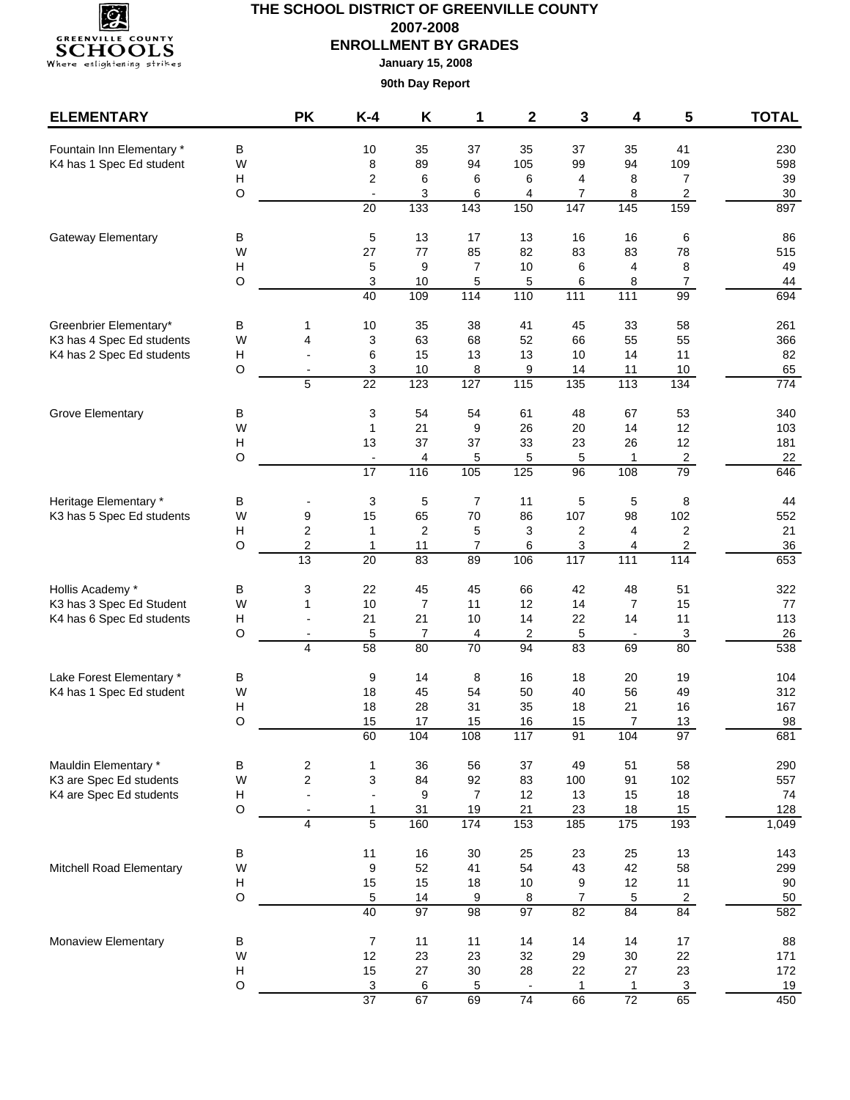

**January 15, 2008**

| <b>ELEMENTARY</b>                                   |                                                                                                                                                                                                                                                                                                                                                                                                                                                                                                                                                                                                                                                                                                                                                                                                                                                                                  | <b>PK</b>                                                                                                                                                                                                                                                               | $K-4$                          | K       | 1                     | $\mathbf{2}$         | 3                    | 4                      | 5                         | <b>TOTAL</b> |
|-----------------------------------------------------|----------------------------------------------------------------------------------------------------------------------------------------------------------------------------------------------------------------------------------------------------------------------------------------------------------------------------------------------------------------------------------------------------------------------------------------------------------------------------------------------------------------------------------------------------------------------------------------------------------------------------------------------------------------------------------------------------------------------------------------------------------------------------------------------------------------------------------------------------------------------------------|-------------------------------------------------------------------------------------------------------------------------------------------------------------------------------------------------------------------------------------------------------------------------|--------------------------------|---------|-----------------------|----------------------|----------------------|------------------------|---------------------------|--------------|
| Fountain Inn Elementary *                           | В                                                                                                                                                                                                                                                                                                                                                                                                                                                                                                                                                                                                                                                                                                                                                                                                                                                                                |                                                                                                                                                                                                                                                                         | 10                             | 35      | 37                    | 35                   | 37                   | 35                     | 41                        | 230          |
| K4 has 1 Spec Ed student                            | W                                                                                                                                                                                                                                                                                                                                                                                                                                                                                                                                                                                                                                                                                                                                                                                                                                                                                |                                                                                                                                                                                                                                                                         | 8                              | 89      | 94                    | 105                  | 99                   | 94                     | 109                       | 598          |
|                                                     | н                                                                                                                                                                                                                                                                                                                                                                                                                                                                                                                                                                                                                                                                                                                                                                                                                                                                                |                                                                                                                                                                                                                                                                         | $\overline{\mathbf{c}}$        | 6       | 6                     | 6                    | 4                    | 8                      | $\overline{7}$            | 39           |
|                                                     | O                                                                                                                                                                                                                                                                                                                                                                                                                                                                                                                                                                                                                                                                                                                                                                                                                                                                                |                                                                                                                                                                                                                                                                         | $\overline{\phantom{a}}$       | 3       | 6                     | 4                    | 7                    | 8                      | $\overline{a}$            | 30           |
|                                                     |                                                                                                                                                                                                                                                                                                                                                                                                                                                                                                                                                                                                                                                                                                                                                                                                                                                                                  |                                                                                                                                                                                                                                                                         |                                |         | 143                   | 150                  | $\frac{1}{147}$      | $\frac{145}{145}$      | 159                       | 897          |
| Gateway Elementary                                  | В                                                                                                                                                                                                                                                                                                                                                                                                                                                                                                                                                                                                                                                                                                                                                                                                                                                                                |                                                                                                                                                                                                                                                                         | 5                              | 13      | 17                    | 13                   | 16                   | 16                     | 6                         | 86           |
|                                                     |                                                                                                                                                                                                                                                                                                                                                                                                                                                                                                                                                                                                                                                                                                                                                                                                                                                                                  |                                                                                                                                                                                                                                                                         |                                |         | 85                    | 82                   | 83                   | 83                     | 78                        | 515          |
|                                                     |                                                                                                                                                                                                                                                                                                                                                                                                                                                                                                                                                                                                                                                                                                                                                                                                                                                                                  |                                                                                                                                                                                                                                                                         |                                |         | $\overline{7}$<br>5   | 10<br>5              | 6<br>6               | 4<br>8                 | 8<br>$\boldsymbol{7}$     | 49<br>44     |
|                                                     |                                                                                                                                                                                                                                                                                                                                                                                                                                                                                                                                                                                                                                                                                                                                                                                                                                                                                  |                                                                                                                                                                                                                                                                         | 40                             | 109     | 114                   | 110                  | 111                  | $\frac{111}{111}$      | 99                        | 694          |
|                                                     |                                                                                                                                                                                                                                                                                                                                                                                                                                                                                                                                                                                                                                                                                                                                                                                                                                                                                  |                                                                                                                                                                                                                                                                         |                                |         |                       | 41                   |                      |                        |                           |              |
| Greenbrier Elementary*<br>K3 has 4 Spec Ed students |                                                                                                                                                                                                                                                                                                                                                                                                                                                                                                                                                                                                                                                                                                                                                                                                                                                                                  |                                                                                                                                                                                                                                                                         |                                |         | 38<br>68              | 52                   | 45<br>66             | 33<br>55               | 58<br>55                  | 261<br>366   |
| K4 has 2 Spec Ed students                           |                                                                                                                                                                                                                                                                                                                                                                                                                                                                                                                                                                                                                                                                                                                                                                                                                                                                                  | $\overline{a}$                                                                                                                                                                                                                                                          |                                |         | 13                    | 13                   | 10                   | 14                     | 11                        | 82           |
|                                                     | $\overline{133}$<br>20<br>77<br>W<br>27<br>н<br>5<br>9<br>$\mathsf O$<br>$\ensuremath{\mathsf{3}}$<br>10<br>10<br>35<br>В<br>1<br>W<br>4<br>63<br>3<br>6<br>15<br>н<br>O<br>10<br>3<br>$\overline{\phantom{a}}$<br>123<br>$\overline{22}$<br>5<br>3<br>54<br>В<br>W<br>21<br>$\mathbf{1}$<br>13<br>37<br>н<br>O<br>4<br>$\overline{\phantom{a}}$<br>$\frac{116}{116}$<br>17<br>3<br>5<br>В<br>65<br>W<br>9<br>15<br>$\overline{c}$<br>H<br>$\overline{\mathbf{c}}$<br>$\mathbf{1}$<br>O<br>$\overline{\mathbf{c}}$<br>$\mathbf{1}$<br>11<br>$\overline{13}$<br>20<br>83<br>3<br>В<br>22<br>45<br>$\overline{7}$<br>W<br>1<br>10<br>21<br>21<br>н<br>$\overline{\phantom{0}}$<br>O<br>5<br>7<br>$\overline{\phantom{0}}$<br>$\overline{58}$<br>80<br>4<br>В<br>9<br>14<br>W<br>45<br>18<br>28<br>н<br>18<br>O<br>17<br>15<br>104<br>60<br>$\overline{\mathbf{c}}$<br>В<br>1<br>36 | 8                                                                                                                                                                                                                                                                       | 9                              | 14      | 11                    | $10$                 | 65                   |                        |                           |              |
|                                                     |                                                                                                                                                                                                                                                                                                                                                                                                                                                                                                                                                                                                                                                                                                                                                                                                                                                                                  | 115<br>127<br>$\overline{135}$<br>$\frac{1}{113}$<br>$\frac{1}{134}$<br>54<br>61<br>48<br>67<br>53<br>9<br>26<br>20<br>14<br>12<br>37<br>33<br>23<br>26<br>12<br>$\overline{\mathbf{c}}$<br>5<br>5<br>5<br>1<br>105<br>$\frac{125}{25}$<br>$\overline{79}$<br>96<br>108 |                                | 774     |                       |                      |                      |                        |                           |              |
| Grove Elementary                                    |                                                                                                                                                                                                                                                                                                                                                                                                                                                                                                                                                                                                                                                                                                                                                                                                                                                                                  |                                                                                                                                                                                                                                                                         |                                |         |                       |                      |                      |                        |                           | 340          |
|                                                     |                                                                                                                                                                                                                                                                                                                                                                                                                                                                                                                                                                                                                                                                                                                                                                                                                                                                                  |                                                                                                                                                                                                                                                                         |                                |         |                       |                      |                      |                        |                           | 103          |
|                                                     |                                                                                                                                                                                                                                                                                                                                                                                                                                                                                                                                                                                                                                                                                                                                                                                                                                                                                  |                                                                                                                                                                                                                                                                         |                                |         |                       |                      |                      |                        |                           | 181          |
|                                                     |                                                                                                                                                                                                                                                                                                                                                                                                                                                                                                                                                                                                                                                                                                                                                                                                                                                                                  |                                                                                                                                                                                                                                                                         |                                |         |                       |                      |                      |                        |                           | 22           |
|                                                     |                                                                                                                                                                                                                                                                                                                                                                                                                                                                                                                                                                                                                                                                                                                                                                                                                                                                                  |                                                                                                                                                                                                                                                                         |                                |         |                       |                      |                      |                        |                           | 646          |
| Heritage Elementary *<br>K3 has 5 Spec Ed students  |                                                                                                                                                                                                                                                                                                                                                                                                                                                                                                                                                                                                                                                                                                                                                                                                                                                                                  |                                                                                                                                                                                                                                                                         |                                |         | $\overline{7}$        | 11                   | 5                    | 5                      | 8                         | 44           |
|                                                     |                                                                                                                                                                                                                                                                                                                                                                                                                                                                                                                                                                                                                                                                                                                                                                                                                                                                                  |                                                                                                                                                                                                                                                                         |                                |         | 70                    | 86                   | 107                  | 98                     | 102                       | 552          |
|                                                     |                                                                                                                                                                                                                                                                                                                                                                                                                                                                                                                                                                                                                                                                                                                                                                                                                                                                                  |                                                                                                                                                                                                                                                                         |                                |         | 5<br>$\boldsymbol{7}$ | 3                    | 2                    | 4<br>4                 | $\overline{c}$            | 21<br>36     |
|                                                     |                                                                                                                                                                                                                                                                                                                                                                                                                                                                                                                                                                                                                                                                                                                                                                                                                                                                                  |                                                                                                                                                                                                                                                                         |                                |         | 89                    | 6<br>106             | 3<br>$\frac{1}{117}$ | 111                    | $\overline{c}$<br>114     | 653          |
|                                                     |                                                                                                                                                                                                                                                                                                                                                                                                                                                                                                                                                                                                                                                                                                                                                                                                                                                                                  |                                                                                                                                                                                                                                                                         |                                |         |                       |                      |                      |                        |                           |              |
| Hollis Academy *<br>K3 has 3 Spec Ed Student        |                                                                                                                                                                                                                                                                                                                                                                                                                                                                                                                                                                                                                                                                                                                                                                                                                                                                                  |                                                                                                                                                                                                                                                                         |                                |         | 45<br>11              | 66<br>12             | 42<br>14             | 48<br>$\overline{7}$   | 51<br>15                  | 322<br>77    |
| K4 has 6 Spec Ed students                           |                                                                                                                                                                                                                                                                                                                                                                                                                                                                                                                                                                                                                                                                                                                                                                                                                                                                                  |                                                                                                                                                                                                                                                                         |                                |         | $10$                  | 14                   | 22                   | 14                     | 11                        | 113          |
|                                                     |                                                                                                                                                                                                                                                                                                                                                                                                                                                                                                                                                                                                                                                                                                                                                                                                                                                                                  |                                                                                                                                                                                                                                                                         |                                |         | 4                     | 2                    | 5                    |                        | $\ensuremath{\mathsf{3}}$ | 26           |
|                                                     |                                                                                                                                                                                                                                                                                                                                                                                                                                                                                                                                                                                                                                                                                                                                                                                                                                                                                  |                                                                                                                                                                                                                                                                         |                                |         | $\overline{70}$       | 94                   | 83                   | 69                     | $\overline{80}$           | 538          |
| Lake Forest Elementary *                            |                                                                                                                                                                                                                                                                                                                                                                                                                                                                                                                                                                                                                                                                                                                                                                                                                                                                                  |                                                                                                                                                                                                                                                                         |                                |         | 8                     | 16                   | 18                   | 20                     | 19                        | 104          |
| K4 has 1 Spec Ed student                            |                                                                                                                                                                                                                                                                                                                                                                                                                                                                                                                                                                                                                                                                                                                                                                                                                                                                                  |                                                                                                                                                                                                                                                                         |                                |         | 54                    | 50                   | 40                   | 56                     | 49                        | 312          |
|                                                     |                                                                                                                                                                                                                                                                                                                                                                                                                                                                                                                                                                                                                                                                                                                                                                                                                                                                                  |                                                                                                                                                                                                                                                                         |                                |         | 31                    | 35                   | 18                   | 21                     | 16                        | 167          |
|                                                     |                                                                                                                                                                                                                                                                                                                                                                                                                                                                                                                                                                                                                                                                                                                                                                                                                                                                                  |                                                                                                                                                                                                                                                                         |                                |         | 15                    | 16                   | 15                   | $\overline{7}$         | 13                        | 98           |
|                                                     |                                                                                                                                                                                                                                                                                                                                                                                                                                                                                                                                                                                                                                                                                                                                                                                                                                                                                  |                                                                                                                                                                                                                                                                         |                                |         | 108                   | 117                  | 91                   | 104                    | 97                        | 681          |
| Mauldin Elementary *                                |                                                                                                                                                                                                                                                                                                                                                                                                                                                                                                                                                                                                                                                                                                                                                                                                                                                                                  |                                                                                                                                                                                                                                                                         |                                |         | 56                    | 37                   | 49                   | 51                     | 58                        | 290          |
| K3 are Spec Ed students                             | W                                                                                                                                                                                                                                                                                                                                                                                                                                                                                                                                                                                                                                                                                                                                                                                                                                                                                | $\overline{c}$                                                                                                                                                                                                                                                          | $\ensuremath{\mathsf{3}}$      | 84      | 92                    | 83                   | 100                  | 91                     | 102                       | 557          |
| K4 are Spec Ed students                             | н<br>O                                                                                                                                                                                                                                                                                                                                                                                                                                                                                                                                                                                                                                                                                                                                                                                                                                                                           | $\overline{a}$<br>$\blacksquare$                                                                                                                                                                                                                                        | $\blacksquare$<br>$\mathbf{1}$ | 9<br>31 | $\overline{7}$<br>19  | 12<br>21             | 13<br>23             | 15<br>18               | 18<br>15                  | 74<br>128    |
|                                                     |                                                                                                                                                                                                                                                                                                                                                                                                                                                                                                                                                                                                                                                                                                                                                                                                                                                                                  | 4                                                                                                                                                                                                                                                                       | $\overline{5}$                 | 160     | 174                   | 153                  | 185                  | 175                    | 193                       | 1,049        |
|                                                     | В                                                                                                                                                                                                                                                                                                                                                                                                                                                                                                                                                                                                                                                                                                                                                                                                                                                                                |                                                                                                                                                                                                                                                                         | 11                             | 16      | 30                    | 25                   | 23                   | 25                     | 13                        | 143          |
| Mitchell Road Elementary                            | W                                                                                                                                                                                                                                                                                                                                                                                                                                                                                                                                                                                                                                                                                                                                                                                                                                                                                |                                                                                                                                                                                                                                                                         | 9                              | 52      | 41                    | 54                   | 43                   | 42                     | 58                        | 299          |
|                                                     | н                                                                                                                                                                                                                                                                                                                                                                                                                                                                                                                                                                                                                                                                                                                                                                                                                                                                                |                                                                                                                                                                                                                                                                         | 15                             | 15      | 18                    | 10                   | 9                    | 12                     | 11                        | 90           |
|                                                     | O                                                                                                                                                                                                                                                                                                                                                                                                                                                                                                                                                                                                                                                                                                                                                                                                                                                                                |                                                                                                                                                                                                                                                                         | 5                              | 14      | $\boldsymbol{9}$      | 8                    | $\overline{7}$       | 5                      | $\mathbf{2}$              | 50           |
|                                                     |                                                                                                                                                                                                                                                                                                                                                                                                                                                                                                                                                                                                                                                                                                                                                                                                                                                                                  |                                                                                                                                                                                                                                                                         | 40                             | 97      | $\overline{98}$       | $\overline{97}$      | 82                   | 84                     | 84                        | 582          |
| Monaview Elementary                                 | В                                                                                                                                                                                                                                                                                                                                                                                                                                                                                                                                                                                                                                                                                                                                                                                                                                                                                |                                                                                                                                                                                                                                                                         | $\boldsymbol{7}$               | 11      | 11                    | 14                   | 14                   | 14                     | 17                        | 88           |
|                                                     | W                                                                                                                                                                                                                                                                                                                                                                                                                                                                                                                                                                                                                                                                                                                                                                                                                                                                                |                                                                                                                                                                                                                                                                         | 12                             | 23      | 23                    | 32                   | 29                   | $30\,$                 | 22                        | 171          |
|                                                     | H                                                                                                                                                                                                                                                                                                                                                                                                                                                                                                                                                                                                                                                                                                                                                                                                                                                                                |                                                                                                                                                                                                                                                                         | 15                             | 27      | 30                    | 28                   | 22                   | 27                     | 23                        | 172          |
|                                                     | O                                                                                                                                                                                                                                                                                                                                                                                                                                                                                                                                                                                                                                                                                                                                                                                                                                                                                |                                                                                                                                                                                                                                                                         | 3<br>$\overline{37}$           | 6<br>67 | 5<br>69               | $\blacksquare$<br>74 | $\mathbf{1}$<br>66   | $\mathbf{1}$<br>$72\,$ | $\overline{3}$<br>65      | 19<br>450    |
|                                                     |                                                                                                                                                                                                                                                                                                                                                                                                                                                                                                                                                                                                                                                                                                                                                                                                                                                                                  |                                                                                                                                                                                                                                                                         |                                |         |                       |                      |                      |                        |                           |              |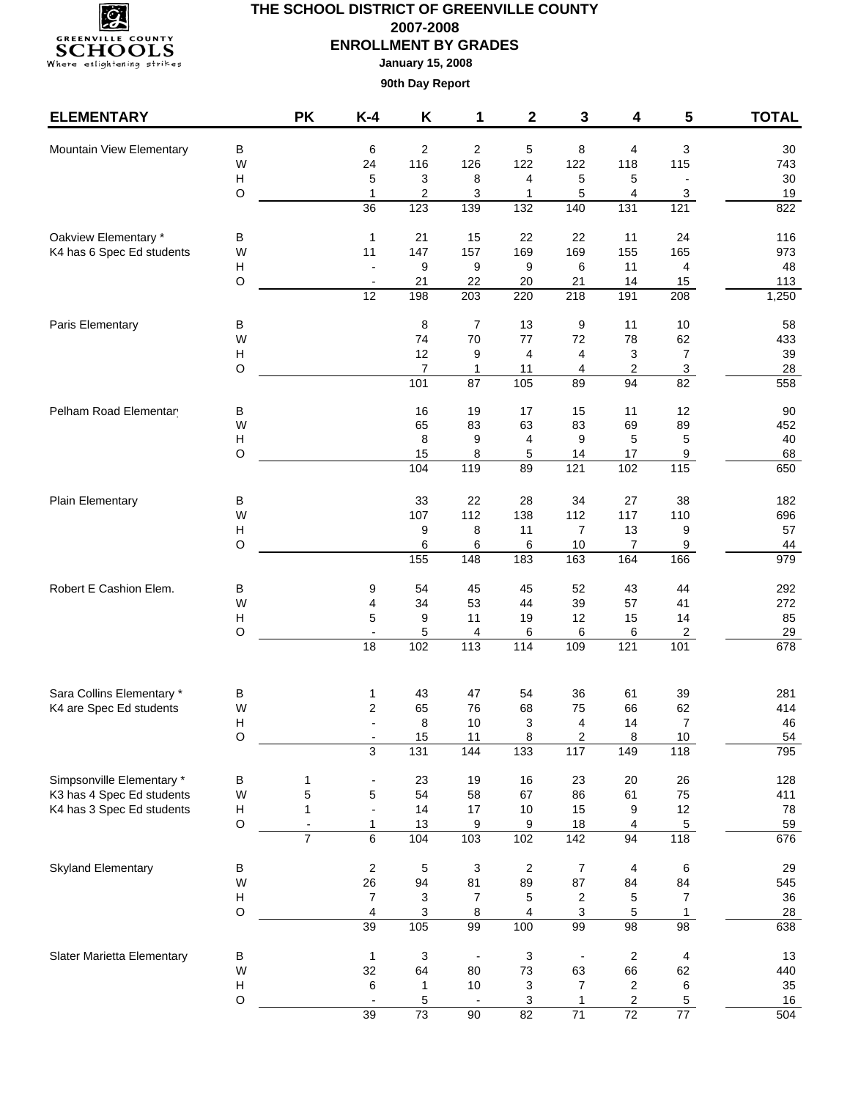

**January 15, 2008**

| <b>ELEMENTARY</b>                                                                                                                           |                           | <b>PK</b>                                | $K-4$                          | K                         | 1                      | 2                      | 3                        | 4                             | 5                                            | <b>TOTAL</b> |
|---------------------------------------------------------------------------------------------------------------------------------------------|---------------------------|------------------------------------------|--------------------------------|---------------------------|------------------------|------------------------|--------------------------|-------------------------------|----------------------------------------------|--------------|
| Mountain View Elementary                                                                                                                    | B                         |                                          | 6                              | 2                         | $\overline{2}$         | 5                      | 8                        | 4                             | 3                                            | 30           |
|                                                                                                                                             | W                         |                                          | 24                             | 116                       | 126                    | 122                    | 122                      | 118                           | 115                                          | 743          |
|                                                                                                                                             | $\boldsymbol{\mathsf{H}}$ |                                          | 5                              | 3                         | 8                      | 4                      | 5                        | 5                             | $\overline{\phantom{a}}$                     | $30\,$       |
|                                                                                                                                             | $\circ$                   |                                          | $\mathbf{1}$                   | $\overline{\mathbf{c}}$   | 3                      | 1                      | 5                        | 4                             | 3                                            | 19           |
|                                                                                                                                             |                           |                                          | $\overline{36}$                | 123                       | 139                    | $\overline{132}$       | 140                      | $\overline{131}$              | 121                                          | 822          |
| Oakview Elementary *                                                                                                                        | в                         |                                          | $\mathbf{1}$                   | 21                        | 15                     | 22                     | 22                       | 11                            | 24                                           | 116          |
| K4 has 6 Spec Ed students                                                                                                                   | W                         |                                          | 11                             | 147                       | 157                    | 169                    | 169                      | 155                           | 165                                          | 973          |
|                                                                                                                                             | $\boldsymbol{\mathsf{H}}$ |                                          |                                | 9                         | 9                      | 9                      | 6                        | 11                            | 4                                            | 48           |
|                                                                                                                                             | $\mathsf O$               |                                          | 12                             | 21<br>198                 | 22<br>$\overline{203}$ | 20<br>220              | 21<br>$\overline{218}$   | 14<br>191                     | 15<br>$\overline{208}$                       | 113<br>1,250 |
|                                                                                                                                             |                           |                                          |                                |                           |                        |                        |                          |                               |                                              |              |
| Paris Elementary                                                                                                                            | В                         |                                          |                                | 8                         | 7                      | 13                     | 9                        | 11                            | 10                                           | 58           |
|                                                                                                                                             | W                         |                                          |                                | 74                        | 70                     | $77 \,$                | 72                       | 78                            | 62                                           | 433          |
|                                                                                                                                             | H                         |                                          |                                | 12                        | 9                      | 4                      | 4                        | 3                             | $\boldsymbol{7}$                             | 39           |
|                                                                                                                                             | $\circ$                   |                                          |                                | $\overline{7}$<br>101     | 1<br>$\overline{87}$   | 11<br>105              | 4<br>89                  | $\overline{\mathbf{c}}$<br>94 | $\ensuremath{\mathsf{3}}$<br>$\overline{82}$ | 28<br>558    |
|                                                                                                                                             |                           |                                          |                                |                           |                        |                        | 15                       |                               |                                              |              |
| Pelham Road Elementar                                                                                                                       | в<br>W                    |                                          |                                | 16<br>65                  | 19<br>83               | 17<br>63               | 83                       | 11<br>69                      | 12<br>89                                     | 90<br>452    |
|                                                                                                                                             | $\boldsymbol{\mathsf{H}}$ |                                          |                                | 8                         | 9                      | 4                      | 9                        | 5                             | 5                                            | 40           |
|                                                                                                                                             | $\circ$                   |                                          |                                | 15                        | 8                      | 5                      | 14                       | 17                            | 9                                            | 68           |
|                                                                                                                                             |                           |                                          |                                | 104                       | 119                    | 89                     | $\overline{121}$         | 102                           | 115                                          | 650          |
| Plain Elementary                                                                                                                            |                           |                                          |                                | 33                        | 22                     | 28                     | 34                       |                               | 38                                           |              |
|                                                                                                                                             | В<br>W                    |                                          |                                | 107                       | 112                    | 138                    | 112                      | 27<br>117                     | 110                                          | 182<br>696   |
|                                                                                                                                             | $\boldsymbol{\mathsf{H}}$ |                                          |                                | 9                         | 8                      | 11                     | 7                        | 13                            | 9                                            | 57           |
|                                                                                                                                             | $\circ$                   |                                          |                                | 6                         | 6                      | 6                      | 10                       | 7                             | 9                                            | 44           |
|                                                                                                                                             |                           |                                          |                                | 155                       | 148                    | 183                    | 163                      | 164                           | 166                                          | 979          |
| Robert E Cashion Elem.                                                                                                                      | B                         |                                          | 9                              | 54                        | 45                     | 45                     | 52                       | 43                            | 44                                           | 292          |
|                                                                                                                                             | W                         |                                          | 4                              | 34                        | 53                     | 44                     | 39                       | 57                            | 41                                           | 272          |
|                                                                                                                                             | H                         |                                          | 5                              | 9                         | 11                     | 19                     | 12                       | 15                            | 14                                           | 85           |
|                                                                                                                                             | $\circ$                   |                                          | $\overline{\phantom{a}}$<br>18 | 5<br>102                  | 4<br>113               | 6<br>$\frac{114}{114}$ | 6<br>109                 | 6<br>121                      | $\overline{\mathbf{c}}$<br>101               | 29<br>678    |
|                                                                                                                                             |                           |                                          |                                |                           |                        |                        |                          |                               |                                              |              |
|                                                                                                                                             | В                         |                                          | 1                              | 43                        | 47                     | 54                     | 36                       | 61                            | 39                                           | 281          |
|                                                                                                                                             | W                         |                                          | $\overline{2}$                 | 65                        | 76                     | 68                     | 75                       | 66                            | 62                                           | 414          |
|                                                                                                                                             | н                         |                                          |                                | 8                         | 10                     | 3                      | 4                        | 14                            | $\overline{7}$                               | 46           |
| Sara Collins Elementary *<br>K4 are Spec Ed students<br>Simpsonville Elementary *<br>K3 has 4 Spec Ed students<br>K4 has 3 Spec Ed students | $\circ$                   |                                          |                                | 15                        | 11                     | $\overline{8}$         | 2                        | $\overline{8}$                | 10                                           | <u>54</u>    |
|                                                                                                                                             |                           |                                          | $\overline{3}$                 | 131                       | 144                    | 133                    | 117                      | 149                           | 118                                          | 795          |
|                                                                                                                                             | В                         | 1                                        |                                | 23                        | 19                     | 16                     | 23                       | 20                            | 26                                           | 128          |
|                                                                                                                                             | W                         | 5                                        | $\mathbf 5$                    | 54                        | 58                     | 67                     | 86                       | 61                            | 75                                           | 411          |
|                                                                                                                                             | н<br>$\circ$              | $\mathbf{1}$<br>$\overline{\phantom{a}}$ | $\blacksquare$<br>1            | 14<br>13                  | 17                     | 10                     | 15<br>18                 | 9<br>4                        | 12<br>$\overline{5}$                         | 78           |
|                                                                                                                                             |                           | $\overline{7}$                           | 6                              | 104                       | 9<br>103               | 9<br>102               | 142                      | 94                            | 118                                          | 59<br>676    |
|                                                                                                                                             |                           |                                          |                                |                           |                        |                        |                          |                               |                                              |              |
| Skyland Elementary                                                                                                                          | В<br>W                    |                                          | $\overline{\mathbf{c}}$<br>26  | 5<br>94                   | 3<br>81                | $\overline{2}$<br>89   | 7<br>87                  | 4<br>84                       | 6<br>84                                      | 29<br>545    |
|                                                                                                                                             | н                         |                                          | $\overline{7}$                 | 3                         | $\overline{7}$         | 5                      | 2                        | 5                             | $\boldsymbol{7}$                             | 36           |
|                                                                                                                                             | $\mathsf O$               |                                          | 4                              | 3                         | 8                      | 4                      | 3                        | 5                             | $\mathbf 1$                                  | 28           |
|                                                                                                                                             |                           |                                          | 39                             | 105                       | 99                     | 100                    | 99                       | $\overline{98}$               | 98                                           | 638          |
| Slater Marietta Elementary                                                                                                                  | В                         |                                          | $\mathbf{1}$                   | $\ensuremath{\mathsf{3}}$ |                        | $\mathsf 3$            | $\overline{\phantom{a}}$ | $\boldsymbol{2}$              | 4                                            | 13           |
|                                                                                                                                             | W                         |                                          | 32                             | 64                        | 80                     | 73                     | 63                       | 66                            | 62                                           | 440          |
|                                                                                                                                             | Н                         |                                          | 6                              | 1                         | $10$                   | 3                      | 7                        | $\sqrt{2}$                    | 6                                            | 35           |
|                                                                                                                                             | $\circ$                   |                                          | $\overline{a}$                 | 5                         |                        | 3                      | 1                        | 2                             | 5                                            | $16\,$       |
|                                                                                                                                             |                           |                                          | 39                             | 73                        | 90                     | 82                     | $\overline{71}$          | 72                            | $\overline{77}$                              | 504          |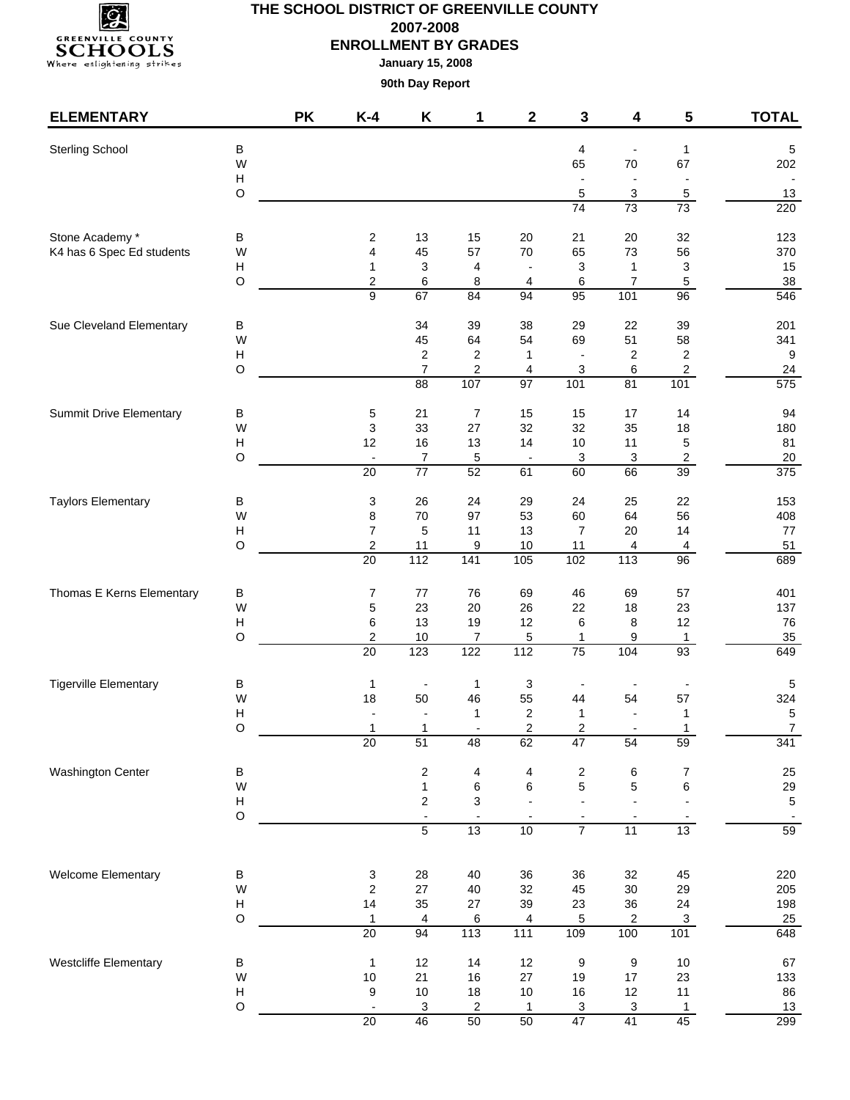

| <b>ELEMENTARY</b>              |                                                                                                                                                                                                                                                                                                                                                                                                                                                                                                                                                                                                                                                                                                                                                                                                                                                                                                                                                                                                                                                                                                                                                                                                                                                                                                                                                                                                                                                                                                                                                                                                                                                                                                                                                                                                                                                                                                                                                                                                                                                                                                                                                                                                                                                                                                                                                                                                                                                                                                                                                                                                                                                                                                                                                                                                                                                                             | <b>PK</b> | $K-4$                          | Κ       | 1                             | $\mathbf 2$       | 3                        | 4                        | 5                        | <b>TOTAL</b>     |
|--------------------------------|-----------------------------------------------------------------------------------------------------------------------------------------------------------------------------------------------------------------------------------------------------------------------------------------------------------------------------------------------------------------------------------------------------------------------------------------------------------------------------------------------------------------------------------------------------------------------------------------------------------------------------------------------------------------------------------------------------------------------------------------------------------------------------------------------------------------------------------------------------------------------------------------------------------------------------------------------------------------------------------------------------------------------------------------------------------------------------------------------------------------------------------------------------------------------------------------------------------------------------------------------------------------------------------------------------------------------------------------------------------------------------------------------------------------------------------------------------------------------------------------------------------------------------------------------------------------------------------------------------------------------------------------------------------------------------------------------------------------------------------------------------------------------------------------------------------------------------------------------------------------------------------------------------------------------------------------------------------------------------------------------------------------------------------------------------------------------------------------------------------------------------------------------------------------------------------------------------------------------------------------------------------------------------------------------------------------------------------------------------------------------------------------------------------------------------------------------------------------------------------------------------------------------------------------------------------------------------------------------------------------------------------------------------------------------------------------------------------------------------------------------------------------------------------------------------------------------------------------------------------------------------|-----------|--------------------------------|---------|-------------------------------|-------------------|--------------------------|--------------------------|--------------------------|------------------|
| <b>Sterling School</b>         |                                                                                                                                                                                                                                                                                                                                                                                                                                                                                                                                                                                                                                                                                                                                                                                                                                                                                                                                                                                                                                                                                                                                                                                                                                                                                                                                                                                                                                                                                                                                                                                                                                                                                                                                                                                                                                                                                                                                                                                                                                                                                                                                                                                                                                                                                                                                                                                                                                                                                                                                                                                                                                                                                                                                                                                                                                                                             |           |                                |         |                               |                   | 4                        | $\overline{a}$           |                          | 5                |
|                                | W                                                                                                                                                                                                                                                                                                                                                                                                                                                                                                                                                                                                                                                                                                                                                                                                                                                                                                                                                                                                                                                                                                                                                                                                                                                                                                                                                                                                                                                                                                                                                                                                                                                                                                                                                                                                                                                                                                                                                                                                                                                                                                                                                                                                                                                                                                                                                                                                                                                                                                                                                                                                                                                                                                                                                                                                                                                                           |           |                                |         |                               |                   | 65                       | $70\,$                   | 67                       | 202              |
|                                |                                                                                                                                                                                                                                                                                                                                                                                                                                                                                                                                                                                                                                                                                                                                                                                                                                                                                                                                                                                                                                                                                                                                                                                                                                                                                                                                                                                                                                                                                                                                                                                                                                                                                                                                                                                                                                                                                                                                                                                                                                                                                                                                                                                                                                                                                                                                                                                                                                                                                                                                                                                                                                                                                                                                                                                                                                                                             |           |                                |         |                               |                   | $\overline{\phantom{a}}$ | $\overline{\phantom{a}}$ | $\overline{\phantom{a}}$ |                  |
|                                |                                                                                                                                                                                                                                                                                                                                                                                                                                                                                                                                                                                                                                                                                                                                                                                                                                                                                                                                                                                                                                                                                                                                                                                                                                                                                                                                                                                                                                                                                                                                                                                                                                                                                                                                                                                                                                                                                                                                                                                                                                                                                                                                                                                                                                                                                                                                                                                                                                                                                                                                                                                                                                                                                                                                                                                                                                                                             |           |                                |         |                               |                   |                          |                          |                          | 13<br>220        |
|                                |                                                                                                                                                                                                                                                                                                                                                                                                                                                                                                                                                                                                                                                                                                                                                                                                                                                                                                                                                                                                                                                                                                                                                                                                                                                                                                                                                                                                                                                                                                                                                                                                                                                                                                                                                                                                                                                                                                                                                                                                                                                                                                                                                                                                                                                                                                                                                                                                                                                                                                                                                                                                                                                                                                                                                                                                                                                                             |           |                                |         |                               |                   |                          |                          |                          |                  |
| Stone Academy *                | B                                                                                                                                                                                                                                                                                                                                                                                                                                                                                                                                                                                                                                                                                                                                                                                                                                                                                                                                                                                                                                                                                                                                                                                                                                                                                                                                                                                                                                                                                                                                                                                                                                                                                                                                                                                                                                                                                                                                                                                                                                                                                                                                                                                                                                                                                                                                                                                                                                                                                                                                                                                                                                                                                                                                                                                                                                                                           |           | $\overline{\mathbf{c}}$        | 13      | 15                            | 20                | 21                       | 20                       | 32                       | 123              |
| K4 has 6 Spec Ed students      | В<br>$\mathbf{1}$<br>Н<br>$\circ$<br>5<br>3<br>5<br>74<br>73<br>73<br>57<br>73<br>56<br>W<br>4<br>45<br>70<br>65<br>$\boldsymbol{\mathsf{H}}$<br>3<br>3<br>3<br>4<br>$\mathbf{1}$<br>1<br>$\mathsf O$<br>$\boldsymbol{2}$<br>6<br>8<br>6<br>$\overline{7}$<br>$\sqrt{5}$<br>4<br>$\overline{9}$<br>95<br>101<br>67<br>84<br>$\overline{94}$<br>$\overline{96}$<br>34<br>39<br>38<br>29<br>22<br>39<br>В<br>45<br>64<br>51<br>58<br>W<br>54<br>69<br>$\overline{c}$<br>$\boldsymbol{\mathsf{H}}$<br>2<br>$\overline{\mathbf{c}}$<br>$\overline{\mathbf{c}}$<br>1<br>$\blacksquare$<br>$\circ$<br>$\overline{7}$<br>$\overline{\mathbf{c}}$<br>3<br>$\overline{c}$<br>6<br>4<br>107<br>$\overline{97}$<br>101<br>81<br>101<br>88<br>$\overline{7}$<br>15<br>B<br>$\mathbf 5$<br>21<br>15<br>$17$<br>14<br>W<br>$\ensuremath{\mathsf{3}}$<br>33<br>27<br>32<br>32<br>35<br>18<br>16<br>$\boldsymbol{\mathsf{H}}$<br>12<br>13<br>14<br>5<br>10<br>11<br>$\circ$<br>$\sqrt{2}$<br>$\overline{7}$<br>5<br>3<br>3<br>$\blacksquare$<br>$\overline{\phantom{a}}$<br>$\overline{20}$<br>$\overline{77}$<br>52<br>66<br>61<br>60<br>39<br>26<br>29<br>24<br>22<br>В<br>3<br>24<br>25<br>W<br>8<br>$70\,$<br>97<br>53<br>60<br>64<br>56<br>$\overline{7}$<br>5<br>11<br>13<br>$\overline{7}$<br>14<br>$\boldsymbol{\mathsf{H}}$<br>20<br>$\circ$<br>$\boldsymbol{2}$<br>11<br>$10$<br>9<br>11<br>4<br>$\overline{\mathbf{4}}$<br>112<br>141<br>105<br>$\overline{20}$<br>102<br>$\frac{1}{113}$<br>96<br>76<br>69<br>46<br>69<br>В<br>7<br>77<br>57<br>W<br>$\mathbf 5$<br>23<br>23<br>20<br>26<br>22<br>18<br>13<br>19<br>12<br>12<br>$\boldsymbol{\mathsf{H}}$<br>6<br>6<br>8<br>$\circ$<br>$\overline{\mathbf{c}}$<br>$10$<br>7<br>5<br>9<br>1<br>1<br>20<br>123<br>122<br>112<br>75<br>104<br>93<br>В<br>3<br>1<br>$\mathbf{1}$<br>$\overline{\phantom{a}}$<br>W<br>18<br>50<br>54<br>57<br>46<br>55<br>44<br>$\overline{\mathbf{c}}$<br>$\mathsf{H}$<br>$\mathbf{1}$<br>$\mathbf{1}$<br>$\mathbf{1}$<br>$\overline{\phantom{a}}$<br>$\overline{2}$<br>O<br>$\overline{2}$<br>1<br>1<br>1<br>$\overline{20}$<br>51<br>62<br>48<br>47<br>54<br>59<br>$\sf B$<br>$\overline{\mathbf{c}}$<br>$\overline{\mathbf{c}}$<br>6<br>$\boldsymbol{7}$<br>4<br>4<br>5<br>6<br>6<br>W<br>$\mathbf{1}$<br>6<br>5<br>$\overline{c}$<br>3<br>$\boldsymbol{\mathsf{H}}$<br>$\overline{\phantom{a}}$<br>$\overline{\phantom{a}}$<br>$\circ$<br>$\blacksquare$<br>$\overline{\phantom{a}}$<br>5<br>$\overline{7}$<br>13<br>11<br>13<br>10<br>B<br>3<br>28<br>40<br>36<br>36<br>32<br>45<br>W<br>$\boldsymbol{2}$<br>27<br>32<br>29<br>40<br>45<br>$30\,$<br>35<br>24<br>Н<br>14<br>27<br>39<br>23<br>36<br>$\circ$<br>5<br>$\mathsf 3$<br>$\mathbf{1}$<br>4<br>6<br>2<br>4<br>113<br>20<br>94<br>$111$<br>100<br>101<br>109<br>12<br>$\boldsymbol{9}$<br>$10\,$<br>B<br>$\mathbf{1}$<br>12<br>14<br>9 |           | 370                            |         |                               |                   |                          |                          |                          |                  |
|                                |                                                                                                                                                                                                                                                                                                                                                                                                                                                                                                                                                                                                                                                                                                                                                                                                                                                                                                                                                                                                                                                                                                                                                                                                                                                                                                                                                                                                                                                                                                                                                                                                                                                                                                                                                                                                                                                                                                                                                                                                                                                                                                                                                                                                                                                                                                                                                                                                                                                                                                                                                                                                                                                                                                                                                                                                                                                                             |           |                                |         |                               |                   |                          |                          |                          | 15<br>38         |
|                                |                                                                                                                                                                                                                                                                                                                                                                                                                                                                                                                                                                                                                                                                                                                                                                                                                                                                                                                                                                                                                                                                                                                                                                                                                                                                                                                                                                                                                                                                                                                                                                                                                                                                                                                                                                                                                                                                                                                                                                                                                                                                                                                                                                                                                                                                                                                                                                                                                                                                                                                                                                                                                                                                                                                                                                                                                                                                             |           |                                |         |                               |                   |                          |                          |                          | 546              |
| Sue Cleveland Elementary       |                                                                                                                                                                                                                                                                                                                                                                                                                                                                                                                                                                                                                                                                                                                                                                                                                                                                                                                                                                                                                                                                                                                                                                                                                                                                                                                                                                                                                                                                                                                                                                                                                                                                                                                                                                                                                                                                                                                                                                                                                                                                                                                                                                                                                                                                                                                                                                                                                                                                                                                                                                                                                                                                                                                                                                                                                                                                             |           |                                |         |                               |                   |                          |                          | 201                      |                  |
|                                |                                                                                                                                                                                                                                                                                                                                                                                                                                                                                                                                                                                                                                                                                                                                                                                                                                                                                                                                                                                                                                                                                                                                                                                                                                                                                                                                                                                                                                                                                                                                                                                                                                                                                                                                                                                                                                                                                                                                                                                                                                                                                                                                                                                                                                                                                                                                                                                                                                                                                                                                                                                                                                                                                                                                                                                                                                                                             |           |                                |         |                               |                   |                          |                          |                          | 341              |
|                                |                                                                                                                                                                                                                                                                                                                                                                                                                                                                                                                                                                                                                                                                                                                                                                                                                                                                                                                                                                                                                                                                                                                                                                                                                                                                                                                                                                                                                                                                                                                                                                                                                                                                                                                                                                                                                                                                                                                                                                                                                                                                                                                                                                                                                                                                                                                                                                                                                                                                                                                                                                                                                                                                                                                                                                                                                                                                             |           |                                |         |                               |                   |                          |                          |                          | $\boldsymbol{9}$ |
|                                |                                                                                                                                                                                                                                                                                                                                                                                                                                                                                                                                                                                                                                                                                                                                                                                                                                                                                                                                                                                                                                                                                                                                                                                                                                                                                                                                                                                                                                                                                                                                                                                                                                                                                                                                                                                                                                                                                                                                                                                                                                                                                                                                                                                                                                                                                                                                                                                                                                                                                                                                                                                                                                                                                                                                                                                                                                                                             |           |                                |         |                               |                   |                          |                          |                          | 24<br>575        |
| <b>Summit Drive Elementary</b> |                                                                                                                                                                                                                                                                                                                                                                                                                                                                                                                                                                                                                                                                                                                                                                                                                                                                                                                                                                                                                                                                                                                                                                                                                                                                                                                                                                                                                                                                                                                                                                                                                                                                                                                                                                                                                                                                                                                                                                                                                                                                                                                                                                                                                                                                                                                                                                                                                                                                                                                                                                                                                                                                                                                                                                                                                                                                             |           |                                |         |                               |                   |                          |                          |                          | 94               |
|                                |                                                                                                                                                                                                                                                                                                                                                                                                                                                                                                                                                                                                                                                                                                                                                                                                                                                                                                                                                                                                                                                                                                                                                                                                                                                                                                                                                                                                                                                                                                                                                                                                                                                                                                                                                                                                                                                                                                                                                                                                                                                                                                                                                                                                                                                                                                                                                                                                                                                                                                                                                                                                                                                                                                                                                                                                                                                                             |           |                                |         |                               |                   |                          |                          |                          | 180              |
|                                |                                                                                                                                                                                                                                                                                                                                                                                                                                                                                                                                                                                                                                                                                                                                                                                                                                                                                                                                                                                                                                                                                                                                                                                                                                                                                                                                                                                                                                                                                                                                                                                                                                                                                                                                                                                                                                                                                                                                                                                                                                                                                                                                                                                                                                                                                                                                                                                                                                                                                                                                                                                                                                                                                                                                                                                                                                                                             |           |                                |         |                               |                   |                          |                          |                          | 81               |
|                                |                                                                                                                                                                                                                                                                                                                                                                                                                                                                                                                                                                                                                                                                                                                                                                                                                                                                                                                                                                                                                                                                                                                                                                                                                                                                                                                                                                                                                                                                                                                                                                                                                                                                                                                                                                                                                                                                                                                                                                                                                                                                                                                                                                                                                                                                                                                                                                                                                                                                                                                                                                                                                                                                                                                                                                                                                                                                             |           |                                |         |                               |                   |                          |                          |                          | $20\,$           |
|                                |                                                                                                                                                                                                                                                                                                                                                                                                                                                                                                                                                                                                                                                                                                                                                                                                                                                                                                                                                                                                                                                                                                                                                                                                                                                                                                                                                                                                                                                                                                                                                                                                                                                                                                                                                                                                                                                                                                                                                                                                                                                                                                                                                                                                                                                                                                                                                                                                                                                                                                                                                                                                                                                                                                                                                                                                                                                                             |           |                                |         |                               |                   |                          |                          |                          | 375              |
| <b>Taylors Elementary</b>      |                                                                                                                                                                                                                                                                                                                                                                                                                                                                                                                                                                                                                                                                                                                                                                                                                                                                                                                                                                                                                                                                                                                                                                                                                                                                                                                                                                                                                                                                                                                                                                                                                                                                                                                                                                                                                                                                                                                                                                                                                                                                                                                                                                                                                                                                                                                                                                                                                                                                                                                                                                                                                                                                                                                                                                                                                                                                             |           |                                |         |                               |                   |                          |                          |                          | 153              |
|                                |                                                                                                                                                                                                                                                                                                                                                                                                                                                                                                                                                                                                                                                                                                                                                                                                                                                                                                                                                                                                                                                                                                                                                                                                                                                                                                                                                                                                                                                                                                                                                                                                                                                                                                                                                                                                                                                                                                                                                                                                                                                                                                                                                                                                                                                                                                                                                                                                                                                                                                                                                                                                                                                                                                                                                                                                                                                                             |           |                                |         |                               |                   |                          |                          |                          | 408              |
|                                |                                                                                                                                                                                                                                                                                                                                                                                                                                                                                                                                                                                                                                                                                                                                                                                                                                                                                                                                                                                                                                                                                                                                                                                                                                                                                                                                                                                                                                                                                                                                                                                                                                                                                                                                                                                                                                                                                                                                                                                                                                                                                                                                                                                                                                                                                                                                                                                                                                                                                                                                                                                                                                                                                                                                                                                                                                                                             |           |                                |         |                               |                   |                          |                          |                          | $77\,$<br>51     |
|                                |                                                                                                                                                                                                                                                                                                                                                                                                                                                                                                                                                                                                                                                                                                                                                                                                                                                                                                                                                                                                                                                                                                                                                                                                                                                                                                                                                                                                                                                                                                                                                                                                                                                                                                                                                                                                                                                                                                                                                                                                                                                                                                                                                                                                                                                                                                                                                                                                                                                                                                                                                                                                                                                                                                                                                                                                                                                                             |           |                                |         |                               |                   |                          |                          |                          | 689              |
| Thomas E Kerns Elementary      |                                                                                                                                                                                                                                                                                                                                                                                                                                                                                                                                                                                                                                                                                                                                                                                                                                                                                                                                                                                                                                                                                                                                                                                                                                                                                                                                                                                                                                                                                                                                                                                                                                                                                                                                                                                                                                                                                                                                                                                                                                                                                                                                                                                                                                                                                                                                                                                                                                                                                                                                                                                                                                                                                                                                                                                                                                                                             |           |                                |         |                               |                   |                          |                          |                          | 401              |
|                                |                                                                                                                                                                                                                                                                                                                                                                                                                                                                                                                                                                                                                                                                                                                                                                                                                                                                                                                                                                                                                                                                                                                                                                                                                                                                                                                                                                                                                                                                                                                                                                                                                                                                                                                                                                                                                                                                                                                                                                                                                                                                                                                                                                                                                                                                                                                                                                                                                                                                                                                                                                                                                                                                                                                                                                                                                                                                             |           |                                |         |                               |                   |                          |                          |                          | 137              |
|                                |                                                                                                                                                                                                                                                                                                                                                                                                                                                                                                                                                                                                                                                                                                                                                                                                                                                                                                                                                                                                                                                                                                                                                                                                                                                                                                                                                                                                                                                                                                                                                                                                                                                                                                                                                                                                                                                                                                                                                                                                                                                                                                                                                                                                                                                                                                                                                                                                                                                                                                                                                                                                                                                                                                                                                                                                                                                                             |           |                                |         |                               |                   |                          |                          |                          | 76               |
|                                |                                                                                                                                                                                                                                                                                                                                                                                                                                                                                                                                                                                                                                                                                                                                                                                                                                                                                                                                                                                                                                                                                                                                                                                                                                                                                                                                                                                                                                                                                                                                                                                                                                                                                                                                                                                                                                                                                                                                                                                                                                                                                                                                                                                                                                                                                                                                                                                                                                                                                                                                                                                                                                                                                                                                                                                                                                                                             |           |                                |         |                               |                   |                          |                          |                          | 35<br>649        |
|                                |                                                                                                                                                                                                                                                                                                                                                                                                                                                                                                                                                                                                                                                                                                                                                                                                                                                                                                                                                                                                                                                                                                                                                                                                                                                                                                                                                                                                                                                                                                                                                                                                                                                                                                                                                                                                                                                                                                                                                                                                                                                                                                                                                                                                                                                                                                                                                                                                                                                                                                                                                                                                                                                                                                                                                                                                                                                                             |           |                                |         |                               |                   |                          |                          |                          |                  |
|                                |                                                                                                                                                                                                                                                                                                                                                                                                                                                                                                                                                                                                                                                                                                                                                                                                                                                                                                                                                                                                                                                                                                                                                                                                                                                                                                                                                                                                                                                                                                                                                                                                                                                                                                                                                                                                                                                                                                                                                                                                                                                                                                                                                                                                                                                                                                                                                                                                                                                                                                                                                                                                                                                                                                                                                                                                                                                                             |           |                                |         |                               |                   |                          |                          |                          | 5<br>324         |
| <b>Tigerville Elementary</b>   |                                                                                                                                                                                                                                                                                                                                                                                                                                                                                                                                                                                                                                                                                                                                                                                                                                                                                                                                                                                                                                                                                                                                                                                                                                                                                                                                                                                                                                                                                                                                                                                                                                                                                                                                                                                                                                                                                                                                                                                                                                                                                                                                                                                                                                                                                                                                                                                                                                                                                                                                                                                                                                                                                                                                                                                                                                                                             |           |                                |         |                               |                   |                          |                          |                          | 5                |
|                                |                                                                                                                                                                                                                                                                                                                                                                                                                                                                                                                                                                                                                                                                                                                                                                                                                                                                                                                                                                                                                                                                                                                                                                                                                                                                                                                                                                                                                                                                                                                                                                                                                                                                                                                                                                                                                                                                                                                                                                                                                                                                                                                                                                                                                                                                                                                                                                                                                                                                                                                                                                                                                                                                                                                                                                                                                                                                             |           |                                |         |                               |                   |                          |                          |                          | $\overline{7}$   |
|                                |                                                                                                                                                                                                                                                                                                                                                                                                                                                                                                                                                                                                                                                                                                                                                                                                                                                                                                                                                                                                                                                                                                                                                                                                                                                                                                                                                                                                                                                                                                                                                                                                                                                                                                                                                                                                                                                                                                                                                                                                                                                                                                                                                                                                                                                                                                                                                                                                                                                                                                                                                                                                                                                                                                                                                                                                                                                                             |           |                                |         |                               |                   |                          |                          |                          | 341              |
| <b>Washington Center</b>       |                                                                                                                                                                                                                                                                                                                                                                                                                                                                                                                                                                                                                                                                                                                                                                                                                                                                                                                                                                                                                                                                                                                                                                                                                                                                                                                                                                                                                                                                                                                                                                                                                                                                                                                                                                                                                                                                                                                                                                                                                                                                                                                                                                                                                                                                                                                                                                                                                                                                                                                                                                                                                                                                                                                                                                                                                                                                             |           |                                |         |                               |                   |                          |                          |                          | 25               |
|                                |                                                                                                                                                                                                                                                                                                                                                                                                                                                                                                                                                                                                                                                                                                                                                                                                                                                                                                                                                                                                                                                                                                                                                                                                                                                                                                                                                                                                                                                                                                                                                                                                                                                                                                                                                                                                                                                                                                                                                                                                                                                                                                                                                                                                                                                                                                                                                                                                                                                                                                                                                                                                                                                                                                                                                                                                                                                                             |           |                                |         |                               |                   |                          |                          |                          | 29               |
|                                |                                                                                                                                                                                                                                                                                                                                                                                                                                                                                                                                                                                                                                                                                                                                                                                                                                                                                                                                                                                                                                                                                                                                                                                                                                                                                                                                                                                                                                                                                                                                                                                                                                                                                                                                                                                                                                                                                                                                                                                                                                                                                                                                                                                                                                                                                                                                                                                                                                                                                                                                                                                                                                                                                                                                                                                                                                                                             |           |                                |         |                               |                   |                          |                          |                          | $\sqrt{5}$       |
|                                |                                                                                                                                                                                                                                                                                                                                                                                                                                                                                                                                                                                                                                                                                                                                                                                                                                                                                                                                                                                                                                                                                                                                                                                                                                                                                                                                                                                                                                                                                                                                                                                                                                                                                                                                                                                                                                                                                                                                                                                                                                                                                                                                                                                                                                                                                                                                                                                                                                                                                                                                                                                                                                                                                                                                                                                                                                                                             |           |                                |         |                               |                   |                          |                          |                          | 59               |
|                                |                                                                                                                                                                                                                                                                                                                                                                                                                                                                                                                                                                                                                                                                                                                                                                                                                                                                                                                                                                                                                                                                                                                                                                                                                                                                                                                                                                                                                                                                                                                                                                                                                                                                                                                                                                                                                                                                                                                                                                                                                                                                                                                                                                                                                                                                                                                                                                                                                                                                                                                                                                                                                                                                                                                                                                                                                                                                             |           |                                |         |                               |                   |                          |                          |                          |                  |
| Welcome Elementary             |                                                                                                                                                                                                                                                                                                                                                                                                                                                                                                                                                                                                                                                                                                                                                                                                                                                                                                                                                                                                                                                                                                                                                                                                                                                                                                                                                                                                                                                                                                                                                                                                                                                                                                                                                                                                                                                                                                                                                                                                                                                                                                                                                                                                                                                                                                                                                                                                                                                                                                                                                                                                                                                                                                                                                                                                                                                                             |           |                                |         |                               |                   |                          |                          |                          | 220              |
|                                |                                                                                                                                                                                                                                                                                                                                                                                                                                                                                                                                                                                                                                                                                                                                                                                                                                                                                                                                                                                                                                                                                                                                                                                                                                                                                                                                                                                                                                                                                                                                                                                                                                                                                                                                                                                                                                                                                                                                                                                                                                                                                                                                                                                                                                                                                                                                                                                                                                                                                                                                                                                                                                                                                                                                                                                                                                                                             |           |                                |         |                               |                   |                          |                          |                          | 205              |
|                                |                                                                                                                                                                                                                                                                                                                                                                                                                                                                                                                                                                                                                                                                                                                                                                                                                                                                                                                                                                                                                                                                                                                                                                                                                                                                                                                                                                                                                                                                                                                                                                                                                                                                                                                                                                                                                                                                                                                                                                                                                                                                                                                                                                                                                                                                                                                                                                                                                                                                                                                                                                                                                                                                                                                                                                                                                                                                             |           |                                |         |                               |                   |                          |                          |                          | 198<br>25        |
|                                |                                                                                                                                                                                                                                                                                                                                                                                                                                                                                                                                                                                                                                                                                                                                                                                                                                                                                                                                                                                                                                                                                                                                                                                                                                                                                                                                                                                                                                                                                                                                                                                                                                                                                                                                                                                                                                                                                                                                                                                                                                                                                                                                                                                                                                                                                                                                                                                                                                                                                                                                                                                                                                                                                                                                                                                                                                                                             |           |                                |         |                               |                   |                          |                          |                          | 648              |
| Westcliffe Elementary          |                                                                                                                                                                                                                                                                                                                                                                                                                                                                                                                                                                                                                                                                                                                                                                                                                                                                                                                                                                                                                                                                                                                                                                                                                                                                                                                                                                                                                                                                                                                                                                                                                                                                                                                                                                                                                                                                                                                                                                                                                                                                                                                                                                                                                                                                                                                                                                                                                                                                                                                                                                                                                                                                                                                                                                                                                                                                             |           |                                |         |                               |                   |                          |                          |                          | 67               |
|                                | W                                                                                                                                                                                                                                                                                                                                                                                                                                                                                                                                                                                                                                                                                                                                                                                                                                                                                                                                                                                                                                                                                                                                                                                                                                                                                                                                                                                                                                                                                                                                                                                                                                                                                                                                                                                                                                                                                                                                                                                                                                                                                                                                                                                                                                                                                                                                                                                                                                                                                                                                                                                                                                                                                                                                                                                                                                                                           |           | $10$                           | 21      | 16                            | 27                | 19                       | $17$                     | 23                       | 133              |
|                                | $\boldsymbol{\mathsf{H}}$                                                                                                                                                                                                                                                                                                                                                                                                                                                                                                                                                                                                                                                                                                                                                                                                                                                                                                                                                                                                                                                                                                                                                                                                                                                                                                                                                                                                                                                                                                                                                                                                                                                                                                                                                                                                                                                                                                                                                                                                                                                                                                                                                                                                                                                                                                                                                                                                                                                                                                                                                                                                                                                                                                                                                                                                                                                   |           | 9                              | $10$    | 18                            | $10$              | 16                       | 12                       | 11                       | 86               |
|                                | $\mathsf O$                                                                                                                                                                                                                                                                                                                                                                                                                                                                                                                                                                                                                                                                                                                                                                                                                                                                                                                                                                                                                                                                                                                                                                                                                                                                                                                                                                                                                                                                                                                                                                                                                                                                                                                                                                                                                                                                                                                                                                                                                                                                                                                                                                                                                                                                                                                                                                                                                                                                                                                                                                                                                                                                                                                                                                                                                                                                 |           | $\overline{\phantom{a}}$<br>20 | 3<br>46 | $\overline{\mathbf{c}}$<br>50 | $\mathbf 1$<br>50 | 3<br>47                  | $\overline{3}$<br>41     | $\mathbf{1}$<br>45       | 13<br>299        |
|                                |                                                                                                                                                                                                                                                                                                                                                                                                                                                                                                                                                                                                                                                                                                                                                                                                                                                                                                                                                                                                                                                                                                                                                                                                                                                                                                                                                                                                                                                                                                                                                                                                                                                                                                                                                                                                                                                                                                                                                                                                                                                                                                                                                                                                                                                                                                                                                                                                                                                                                                                                                                                                                                                                                                                                                                                                                                                                             |           |                                |         |                               |                   |                          |                          |                          |                  |